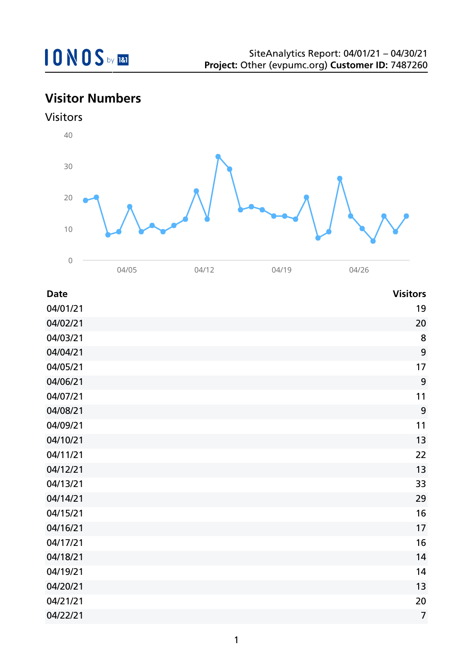# **Visitor Numbers**





| <b>Date</b> | <b>Visitors</b> |
|-------------|-----------------|
| 04/01/21    | 19              |
| 04/02/21    | 20              |
| 04/03/21    | 8               |
| 04/04/21    | 9               |
| 04/05/21    | 17              |
| 04/06/21    | 9               |
| 04/07/21    | 11              |
| 04/08/21    | 9               |
| 04/09/21    | 11              |
| 04/10/21    | 13              |
| 04/11/21    | 22              |
| 04/12/21    | 13              |
| 04/13/21    | 33              |
| 04/14/21    | 29              |
| 04/15/21    | 16              |
| 04/16/21    | 17              |
| 04/17/21    | 16              |
| 04/18/21    | 14              |
| 04/19/21    | 14              |
| 04/20/21    | 13              |
| 04/21/21    | 20              |
| 04/22/21    | $\overline{7}$  |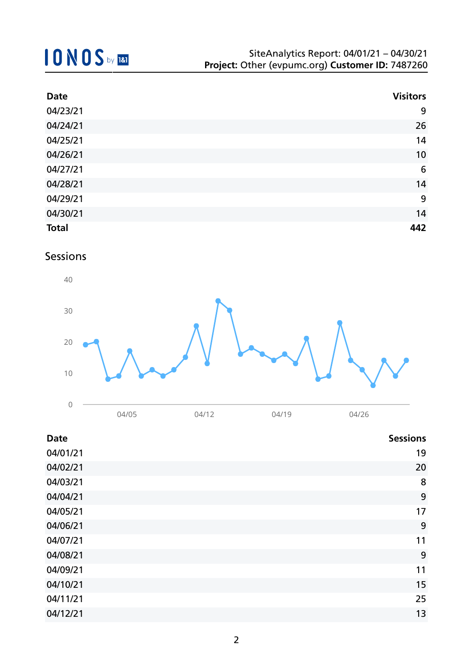| <b>Date</b>  | <b>Visitors</b> |
|--------------|-----------------|
| 04/23/21     | 9               |
| 04/24/21     | 26              |
| 04/25/21     | 14              |
| 04/26/21     | 10              |
| 04/27/21     | $6\phantom{1}6$ |
| 04/28/21     | 14              |
| 04/29/21     | 9               |
| 04/30/21     | 14              |
| <b>Total</b> | 442             |

### Sessions



| <b>Date</b> | <b>Sessions</b> |
|-------------|-----------------|
| 04/01/21    | 19              |
| 04/02/21    | 20              |
| 04/03/21    | 8               |
| 04/04/21    | 9               |
| 04/05/21    | 17              |
| 04/06/21    | 9               |
| 04/07/21    | 11              |
| 04/08/21    | 9               |
| 04/09/21    | 11              |
| 04/10/21    | 15              |
| 04/11/21    | 25              |
| 04/12/21    | 13              |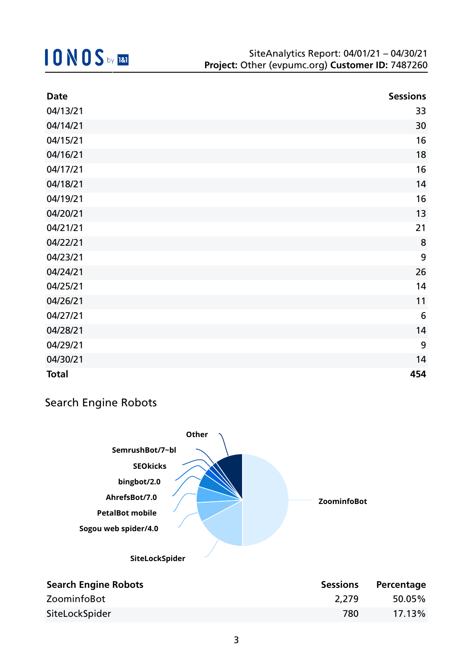| <b>Date</b>  | <b>Sessions</b> |
|--------------|-----------------|
| 04/13/21     | 33              |
| 04/14/21     | 30              |
| 04/15/21     | 16              |
| 04/16/21     | 18              |
| 04/17/21     | 16              |
| 04/18/21     | 14              |
| 04/19/21     | 16              |
| 04/20/21     | 13              |
| 04/21/21     | 21              |
| 04/22/21     | 8               |
| 04/23/21     | 9               |
| 04/24/21     | 26              |
| 04/25/21     | 14              |
| 04/26/21     | 11              |
| 04/27/21     | $6\phantom{1}6$ |
| 04/28/21     | 14              |
| 04/29/21     | 9               |
| 04/30/21     | 14              |
| <b>Total</b> | 454             |

### Search Engine Robots

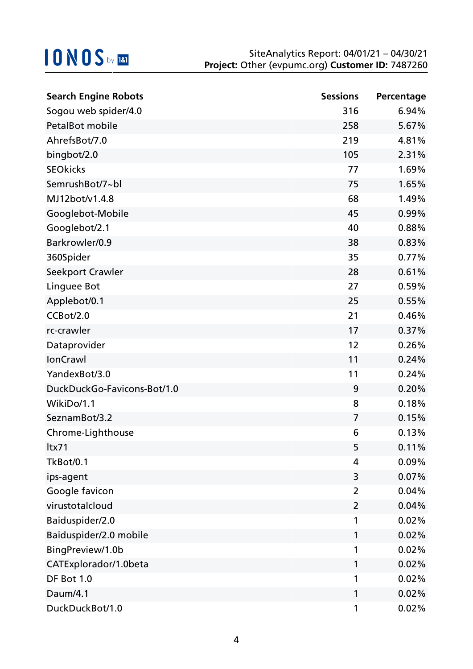| <b>Search Engine Robots</b> | <b>Sessions</b> | Percentage |
|-----------------------------|-----------------|------------|
| Sogou web spider/4.0        | 316             | 6.94%      |
| PetalBot mobile             | 258             | 5.67%      |
| AhrefsBot/7.0               | 219             | 4.81%      |
| bingbot/2.0                 | 105             | 2.31%      |
| <b>SEOkicks</b>             | 77              | 1.69%      |
| SemrushBot/7~bl             | 75              | 1.65%      |
| MJ12bot/v1.4.8              | 68              | 1.49%      |
| Googlebot-Mobile            | 45              | 0.99%      |
| Googlebot/2.1               | 40              | 0.88%      |
| Barkrowler/0.9              | 38              | 0.83%      |
| 360Spider                   | 35              | 0.77%      |
| Seekport Crawler            | 28              | 0.61%      |
| Linguee Bot                 | 27              | 0.59%      |
| Applebot/0.1                | 25              | 0.55%      |
| CCBot/2.0                   | 21              | 0.46%      |
| rc-crawler                  | 17              | 0.37%      |
| Dataprovider                | 12              | 0.26%      |
| IonCrawl                    | 11              | 0.24%      |
| YandexBot/3.0               | 11              | 0.24%      |
| DuckDuckGo-Favicons-Bot/1.0 | 9               | 0.20%      |
| WikiDo/1.1                  | 8               | 0.18%      |
| SeznamBot/3.2               | $\overline{7}$  | 0.15%      |
| Chrome-Lighthouse           | 6               | 0.13%      |
| ltx71                       | 5               | 0.11%      |
| TkBot/0.1                   | 4               | 0.09%      |
| ips-agent                   | 3               | 0.07%      |
| Google favicon              | $\overline{2}$  | 0.04%      |
| virustotalcloud             | 2               | 0.04%      |
| Baiduspider/2.0             | 1               | 0.02%      |
| Baiduspider/2.0 mobile      | 1               | 0.02%      |
| BingPreview/1.0b            | 1               | 0.02%      |
| CATExplorador/1.0beta       | 1               | 0.02%      |
| DF Bot 1.0                  | 1               | 0.02%      |
| Daum/4.1                    | 1               | 0.02%      |
| DuckDuckBot/1.0             | 1               | 0.02%      |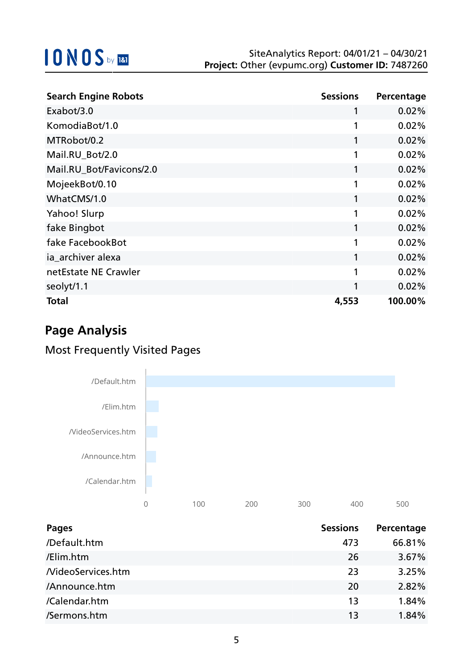| <b>Search Engine Robots</b> | <b>Sessions</b> | Percentage |
|-----------------------------|-----------------|------------|
| Exabot/3.0                  |                 | 0.02%      |
| KomodiaBot/1.0              | 1               | 0.02%      |
| MTRobot/0.2                 |                 | 0.02%      |
| Mail.RU_Bot/2.0             | 1               | 0.02%      |
| Mail.RU_Bot/Favicons/2.0    | 1               | 0.02%      |
| MojeekBot/0.10              | 1               | 0.02%      |
| WhatCMS/1.0                 | 1               | 0.02%      |
| Yahoo! Slurp                | 1               | 0.02%      |
| fake Bingbot                | 1               | 0.02%      |
| fake FacebookBot            | 1               | 0.02%      |
| ia_archiver alexa           | 1               | 0.02%      |
| netEstate NE Crawler        | 1               | 0.02%      |
| seolyt/1.1                  |                 | 0.02%      |
| <b>Total</b>                | 4,553           | 100.00%    |

# **Page Analysis**

## Most Frequently Visited Pages



| <b>Pages</b>       | <b>Sessions</b> | Percentage |
|--------------------|-----------------|------------|
| /Default.htm       | 473             | 66.81%     |
| /Elim.htm          | 26              | 3.67%      |
| /VideoServices.htm | 23              | 3.25%      |
| /Announce.htm      | 20              | 2.82%      |
| /Calendar.htm      | 13              | 1.84%      |
| /Sermons.htm       | 13              | 1.84%      |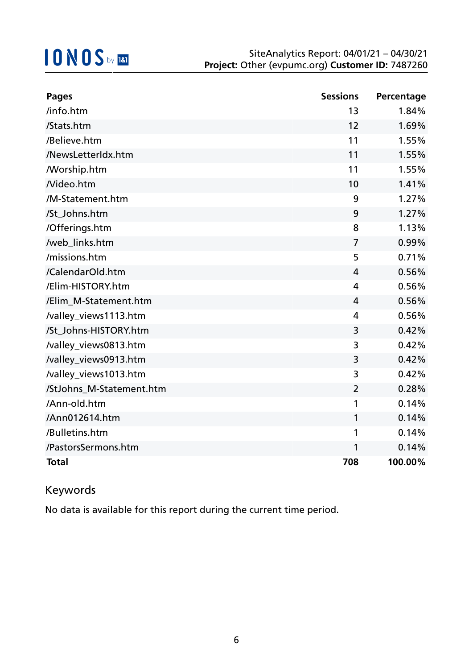| <b>Pages</b>             | <b>Sessions</b> | Percentage |
|--------------------------|-----------------|------------|
| /info.htm                | 13              | 1.84%      |
| /Stats.htm               | 12              | 1.69%      |
| /Believe.htm             | 11              | 1.55%      |
| /NewsLetterIdx.htm       | 11              | 1.55%      |
| <b>Morship.htm</b>       | 11              | 1.55%      |
| Nideo.htm                | 10              | 1.41%      |
| /M-Statement.htm         | 9               | 1.27%      |
| /St_Johns.htm            | 9               | 1.27%      |
| /Offerings.htm           | 8               | 1.13%      |
| /web_links.htm           | $\overline{7}$  | 0.99%      |
| /missions.htm            | 5               | 0.71%      |
| /CalendarOld.htm         | 4               | 0.56%      |
| /Elim-HISTORY.htm        | 4               | 0.56%      |
| /Elim_M-Statement.htm    | 4               | 0.56%      |
| /valley_views1113.htm    | 4               | 0.56%      |
| /St Johns-HISTORY.htm    | 3               | 0.42%      |
| /valley_views0813.htm    | 3               | 0.42%      |
| /valley_views0913.htm    | 3               | 0.42%      |
| /valley_views1013.htm    | 3               | 0.42%      |
| /StJohns_M-Statement.htm | $\overline{2}$  | 0.28%      |
| /Ann-old.htm             | 1               | 0.14%      |
| /Ann012614.htm           | 1               | 0.14%      |
| /Bulletins.htm           | 1               | 0.14%      |
| /PastorsSermons.htm      | 1               | 0.14%      |
| <b>Total</b>             | 708             | 100.00%    |

### Keywords

No data is available for this report during the current time period.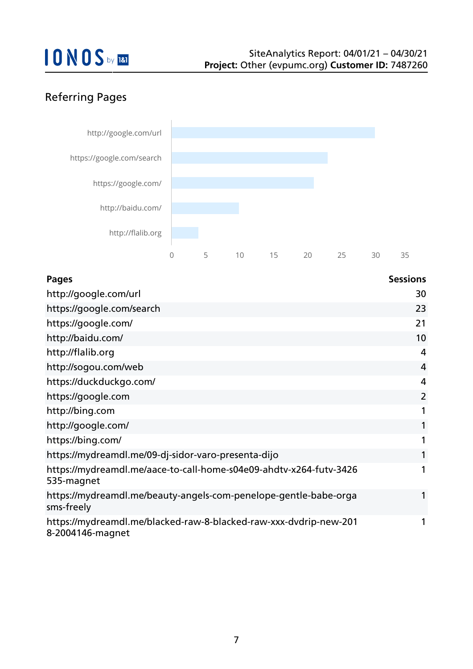## Referring Pages



| Pages                                                                                 | <b>Sessions</b> |
|---------------------------------------------------------------------------------------|-----------------|
| http://google.com/url                                                                 | 30              |
| https://google.com/search                                                             | 23              |
| https://google.com/                                                                   | 21              |
| http://baidu.com/                                                                     | 10              |
| http://flalib.org                                                                     | 4               |
| http://sogou.com/web                                                                  | $\overline{4}$  |
| https://duckduckgo.com/                                                               | 4               |
| https://google.com                                                                    | $\overline{2}$  |
| http://bing.com                                                                       | 1               |
| http://google.com/                                                                    | 1               |
| https://bing.com/                                                                     | $\mathbf{1}$    |
| https://mydreamdl.me/09-dj-sidor-varo-presenta-dijo                                   | 1               |
| https://mydreamdl.me/aace-to-call-home-s04e09-ahdtv-x264-futv-3426<br>535-magnet      | 1               |
| https://mydreamdl.me/beauty-angels-com-penelope-gentle-babe-orga<br>sms-freely        |                 |
| https://mydreamdl.me/blacked-raw-8-blacked-raw-xxx-dvdrip-new-201<br>8-2004146-magnet | 1               |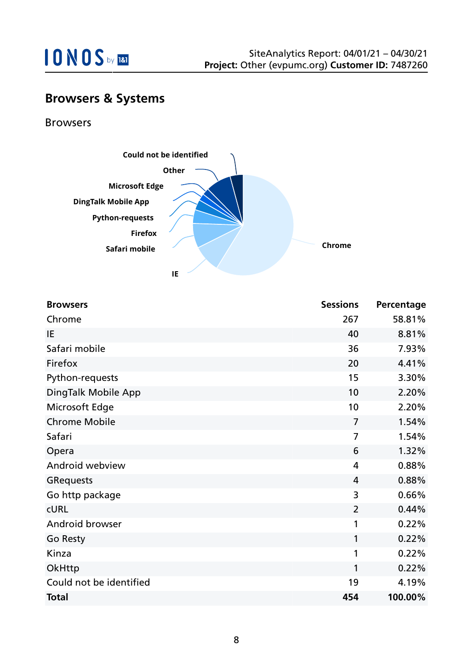

## **Browsers & Systems**

Browsers



| <b>Browsers</b>         | <b>Sessions</b> | Percentage |
|-------------------------|-----------------|------------|
| Chrome                  | 267             | 58.81%     |
| IE                      | 40              | 8.81%      |
| Safari mobile           | 36              | 7.93%      |
| Firefox                 | 20              | 4.41%      |
| Python-requests         | 15              | 3.30%      |
| DingTalk Mobile App     | 10              | 2.20%      |
| Microsoft Edge          | 10              | 2.20%      |
| <b>Chrome Mobile</b>    | $\overline{7}$  | 1.54%      |
| Safari                  | 7               | 1.54%      |
| Opera                   | 6               | 1.32%      |
| Android webview         | $\overline{4}$  | 0.88%      |
| <b>GRequests</b>        | 4               | 0.88%      |
| Go http package         | 3               | 0.66%      |
| <b>CURL</b>             | $\overline{2}$  | 0.44%      |
| Android browser         | 1               | 0.22%      |
| Go Resty                | 1               | 0.22%      |
| Kinza                   | 1               | 0.22%      |
| OkHttp                  | 1               | 0.22%      |
| Could not be identified | 19              | 4.19%      |
| <b>Total</b>            | 454             | 100.00%    |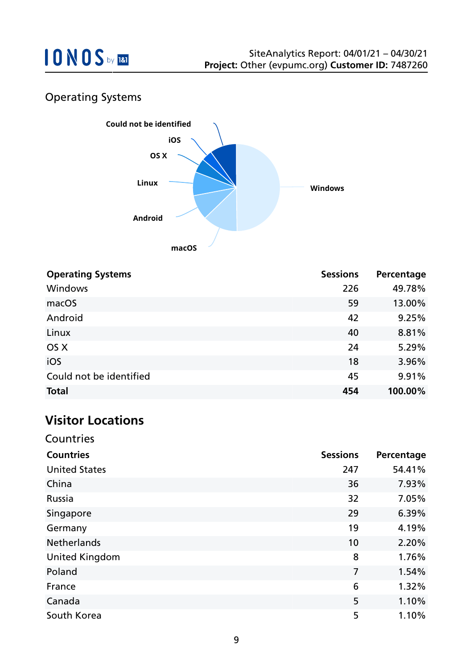

## Operating Systems



| <b>Operating Systems</b> | <b>Sessions</b> | Percentage |
|--------------------------|-----------------|------------|
| <b>Windows</b>           | 226             | 49.78%     |
| macOS                    | 59              | 13.00%     |
| Android                  | 42              | 9.25%      |
| Linux                    | 40              | 8.81%      |
| OS X                     | 24              | 5.29%      |
| iOS                      | 18              | 3.96%      |
| Could not be identified  | 45              | 9.91%      |
| <b>Total</b>             | 454             | 100.00%    |

## **Visitor Locations**

| VISILUI LULALIUIIS    |                 |            |
|-----------------------|-----------------|------------|
| Countries             |                 |            |
| <b>Countries</b>      | <b>Sessions</b> | Percentage |
| <b>United States</b>  | 247             | 54.41%     |
| China                 | 36              | 7.93%      |
| Russia                | 32              | 7.05%      |
| Singapore             | 29              | 6.39%      |
| Germany               | 19              | 4.19%      |
| <b>Netherlands</b>    | 10              | 2.20%      |
| <b>United Kingdom</b> | 8               | 1.76%      |
| Poland                | 7               | 1.54%      |
| France                | 6               | 1.32%      |
| Canada                | 5               | 1.10%      |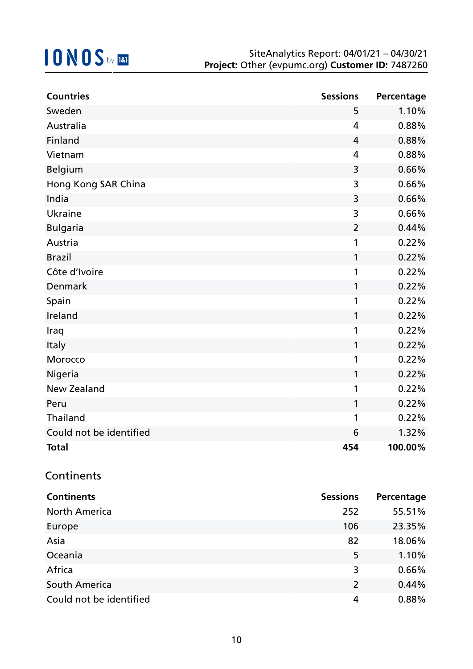| <b>Countries</b>        | <b>Sessions</b> | Percentage |
|-------------------------|-----------------|------------|
| Sweden                  | 5               | 1.10%      |
| Australia               | 4               | 0.88%      |
| Finland                 | $\overline{4}$  | 0.88%      |
| Vietnam                 | 4               | 0.88%      |
| <b>Belgium</b>          | 3               | 0.66%      |
| Hong Kong SAR China     | 3               | 0.66%      |
| India                   | 3               | 0.66%      |
| Ukraine                 | 3               | 0.66%      |
| <b>Bulgaria</b>         | 2               | 0.44%      |
| Austria                 | 1               | 0.22%      |
| <b>Brazil</b>           | 1               | 0.22%      |
| Côte d'Ivoire           | 1               | 0.22%      |
| Denmark                 | 1               | 0.22%      |
| Spain                   | 1               | 0.22%      |
| Ireland                 | 1               | 0.22%      |
| Iraq                    | 1               | 0.22%      |
| Italy                   | 1               | 0.22%      |
| Morocco                 | 1               | 0.22%      |
| Nigeria                 | 1               | 0.22%      |
| <b>New Zealand</b>      | 1               | 0.22%      |
| Peru                    | 1               | 0.22%      |
| Thailand                | 1               | 0.22%      |
| Could not be identified | 6               | 1.32%      |
| <b>Total</b>            | 454             | 100.00%    |

### **Continents**

| <b>Continents</b>       | <b>Sessions</b> | Percentage |
|-------------------------|-----------------|------------|
| <b>North America</b>    | 252             | 55.51%     |
| Europe                  | 106             | 23.35%     |
| Asia                    | 82              | 18.06%     |
| Oceania                 | 5               | 1.10%      |
| Africa                  | 3               | 0.66%      |
| South America           | 2               | 0.44%      |
| Could not be identified | 4               | 0.88%      |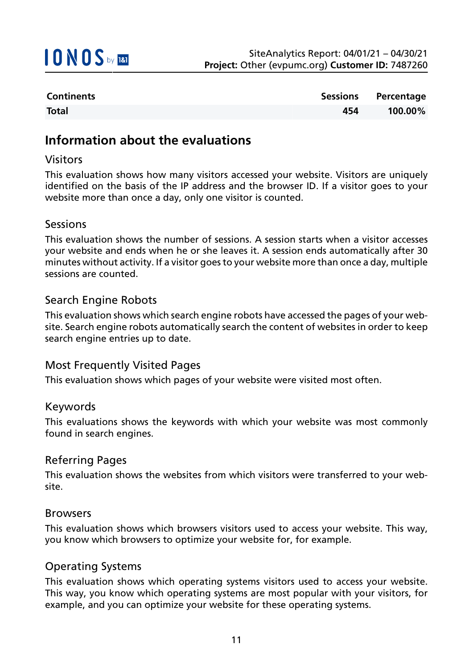

| <b>Continents</b> |     | Sessions Percentage |
|-------------------|-----|---------------------|
| <b>Total</b>      | 454 | 100.00%             |

### **Information about the evaluations**

#### Visitors

This evaluation shows how many visitors accessed your website. Visitors are uniquely identified on the basis of the IP address and the browser ID. If a visitor goes to your website more than once a day, only one visitor is counted.

#### Sessions

This evaluation shows the number of sessions. A session starts when a visitor accesses your website and ends when he or she leaves it. A session ends automatically after 30 minutes without activity. If a visitor goes to your website more than once a day, multiple sessions are counted.

#### Search Engine Robots

This evaluation shows which search engine robots have accessed the pages of your website. Search engine robots automatically search the content of websites in order to keep search engine entries up to date.

#### Most Frequently Visited Pages

This evaluation shows which pages of your website were visited most often.

#### Keywords

This evaluations shows the keywords with which your website was most commonly found in search engines.

#### Referring Pages

This evaluation shows the websites from which visitors were transferred to your website.

#### Browsers

This evaluation shows which browsers visitors used to access your website. This way, you know which browsers to optimize your website for, for example.

#### Operating Systems

This evaluation shows which operating systems visitors used to access your website. This way, you know which operating systems are most popular with your visitors, for example, and you can optimize your website for these operating systems.